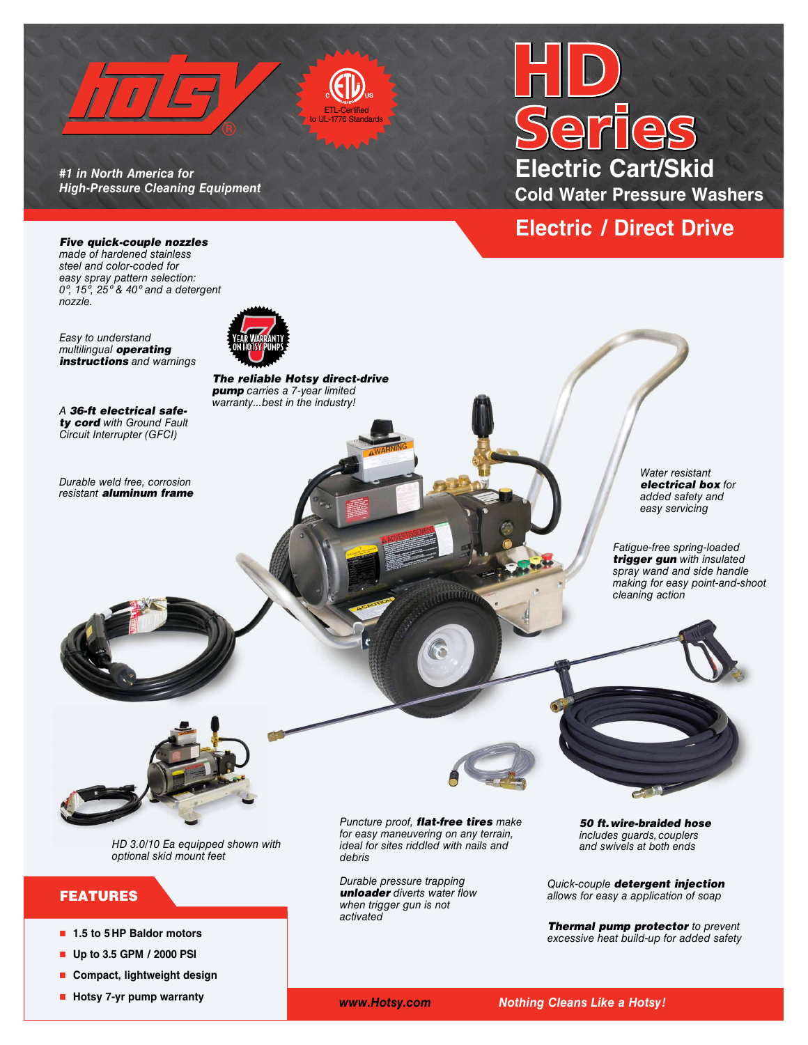

*#1 in North America for High-Pressure Cleaning Equipment* 

# **Electric Cart/Skid Cold Water Pressure Washers**

## **Electric / Direct Drive**

*Five quick-couple nozzles made of hardened stainless steel and color-coded for easy spray pattern selection: 0º, 15º, 25º & 40º and a detergent nozzle.*

*Easy to understand multilingual operating instructions and warnings*

*A 36-ft electrical safety cord with Ground Fault Circuit Interrupter (GFCI)* 

*Durable weld free, corrosion resistant aluminum frame* 



*The reliable Hotsy direct-drive pump carries a 7-year limited warranty...best in the industry!*

> *Water resistant electrical box for added safety and easy servicing*

*Fatigue-free spring-loaded trigger gun with insulated spray wand and side handle making for easy point-and-shoot cleaning action*



*HD 3.0/10 Ea equipped shown with optional skid mount feet*

## FEATURES

- 1.5 to 5 HP Baldor motors
- n **Up to 3.5 GPM / 2000 PSI**
- **n** Compact, lightweight design
- Hotsy 7-yr pump warranty

*Puncture proof, flat-free tires make for easy maneuvering on any terrain, ideal for sites riddled with nails and debris*

 $\cdots$ 

*Durable pressure trapping unloader diverts water flow when trigger gun is not activated*

*50 ft.wire-braided hose includes guards, couplers and swivels at both ends* 

*Quick-couple detergent injection allows for easy a application of soap* 

*Thermal pump protector to prevent excessive heat build-up for added safety*